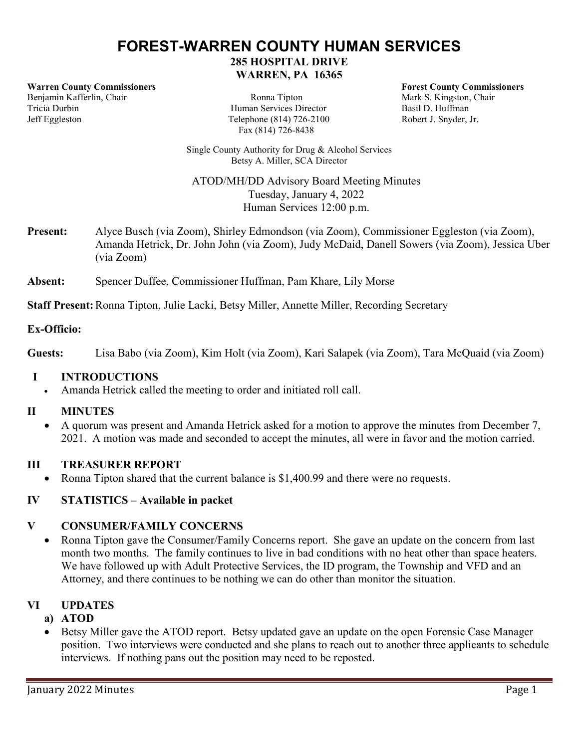# **FOREST-WARREN COUNTY HUMAN SERVICES 285 HOSPITAL DRIVE WARREN, PA 16365**

**Warren County Commissioners Forest County Commissioners** Benjamin Kafferlin, Chair **Ronna Tipton** Ronna Tipton Mark S. Kingston, Chair Ricia Durbin Mark S. Kingston, Chair Ricia Durbin Jeff Eggleston Telephone (814) 726-2100 Robert J. Snyder, Jr.

Human Services Director Fax (814) 726-8438

Single County Authority for Drug & Alcohol Services Betsy A. Miller, SCA Director

ATOD/MH/DD Advisory Board Meeting Minutes Tuesday, January 4, 2022 Human Services 12:00 p.m.

**Present:** Alyce Busch (via Zoom), Shirley Edmondson (via Zoom), Commissioner Eggleston (via Zoom), Amanda Hetrick, Dr. John John (via Zoom), Judy McDaid, Danell Sowers (via Zoom), Jessica Uber (via Zoom)

**Absent:** Spencer Duffee, Commissioner Huffman, Pam Khare, Lily Morse

**Staff Present:** Ronna Tipton, Julie Lacki, Betsy Miller, Annette Miller, Recording Secretary

## **Ex-Officio:**

**Guests:** Lisa Babo (via Zoom), Kim Holt (via Zoom), Kari Salapek (via Zoom), Tara McQuaid (via Zoom)

## **I INTRODUCTIONS**

• Amanda Hetrick called the meeting to order and initiated roll call.

# **II MINUTES**

• A quorum was present and Amanda Hetrick asked for a motion to approve the minutes from December 7, 2021. A motion was made and seconded to accept the minutes, all were in favor and the motion carried.

## **III TREASURER REPORT**

• Ronna Tipton shared that the current balance is \$1,400.99 and there were no requests.

# **IV STATISTICS – Available in packet**

# **V CONSUMER/FAMILY CONCERNS**

• Ronna Tipton gave the Consumer/Family Concerns report. She gave an update on the concern from last month two months. The family continues to live in bad conditions with no heat other than space heaters. We have followed up with Adult Protective Services, the ID program, the Township and VFD and an Attorney, and there continues to be nothing we can do other than monitor the situation.

# **VI UPDATES**

# **a) ATOD**

• Betsy Miller gave the ATOD report. Betsy updated gave an update on the open Forensic Case Manager position. Two interviews were conducted and she plans to reach out to another three applicants to schedule interviews. If nothing pans out the position may need to be reposted.